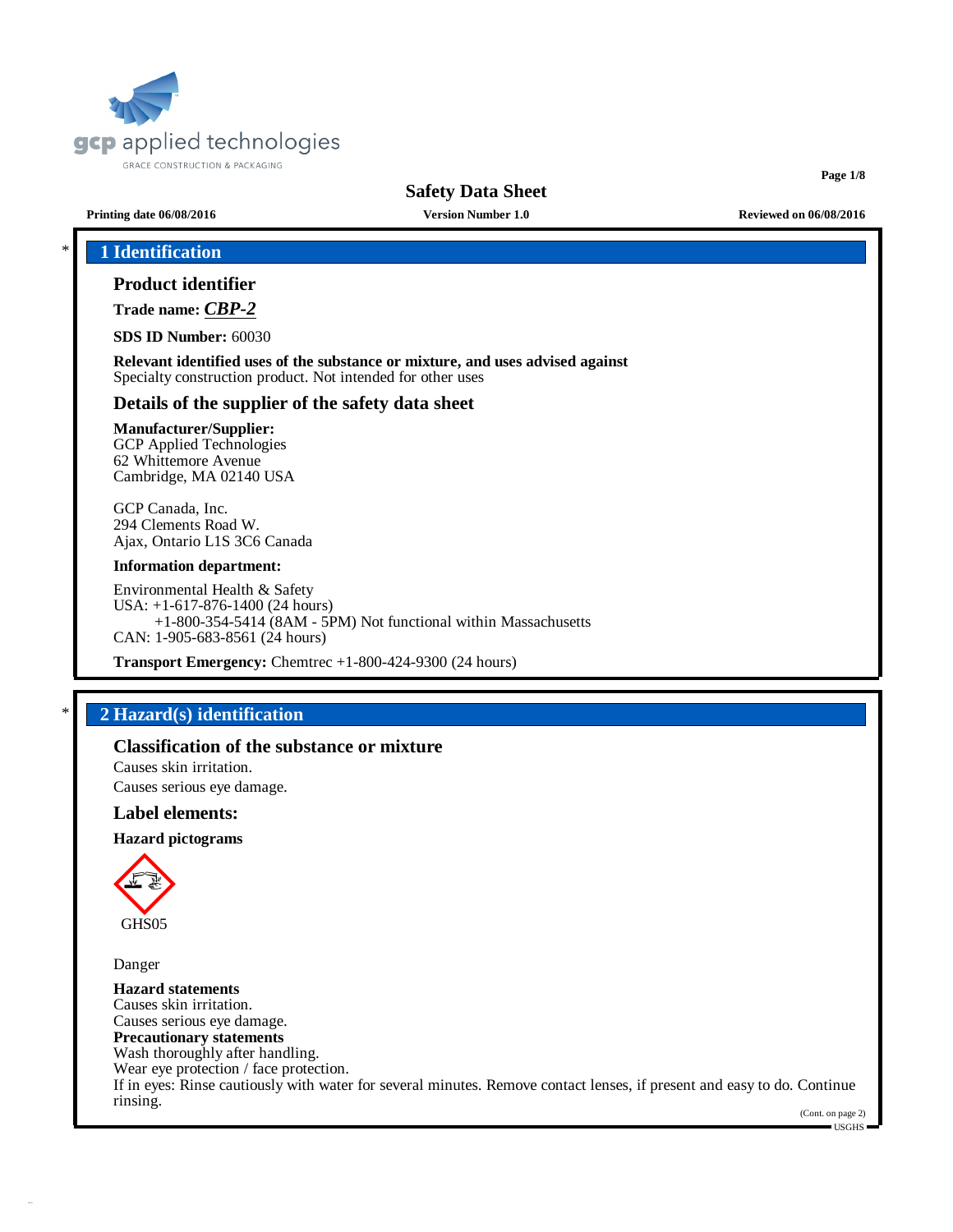

**Page 1/8**

**Printing date 06/08/2016 Version Number 1.0 Reviewed on 06/08/2016**

## \* **1 Identification**

## **Product identifier**

**Trade name:** *CBP-2*

**SDS ID Number:** 60030

**Relevant identified uses of the substance or mixture, and uses advised against** Specialty construction product. Not intended for other uses

#### **Details of the supplier of the safety data sheet**

#### **Manufacturer/Supplier:** GCP Applied Technologies

62 Whittemore Avenue Cambridge, MA 02140 USA

GCP Canada, Inc. 294 Clements Road W. Ajax, Ontario L1S 3C6 Canada

#### **Information department:**

Environmental Health & Safety USA: +1-617-876-1400 (24 hours) +1-800-354-5414 (8AM - 5PM) Not functional within Massachusetts CAN: 1-905-683-8561 (24 hours)

**Transport Emergency:** Chemtrec +1-800-424-9300 (24 hours)

## \* **2 Hazard(s) identification**

#### **Classification of the substance or mixture**

Causes skin irritation. Causes serious eye damage.

#### **Label elements:**

#### **Hazard pictograms**



Danger

**Hazard statements** Causes skin irritation. Causes serious eye damage. **Precautionary statements** Wash thoroughly after handling. Wear eye protection / face protection. If in eyes: Rinse cautiously with water for several minutes. Remove contact lenses, if present and easy to do. Continue rinsing.

(Cont. on page 2) USGHS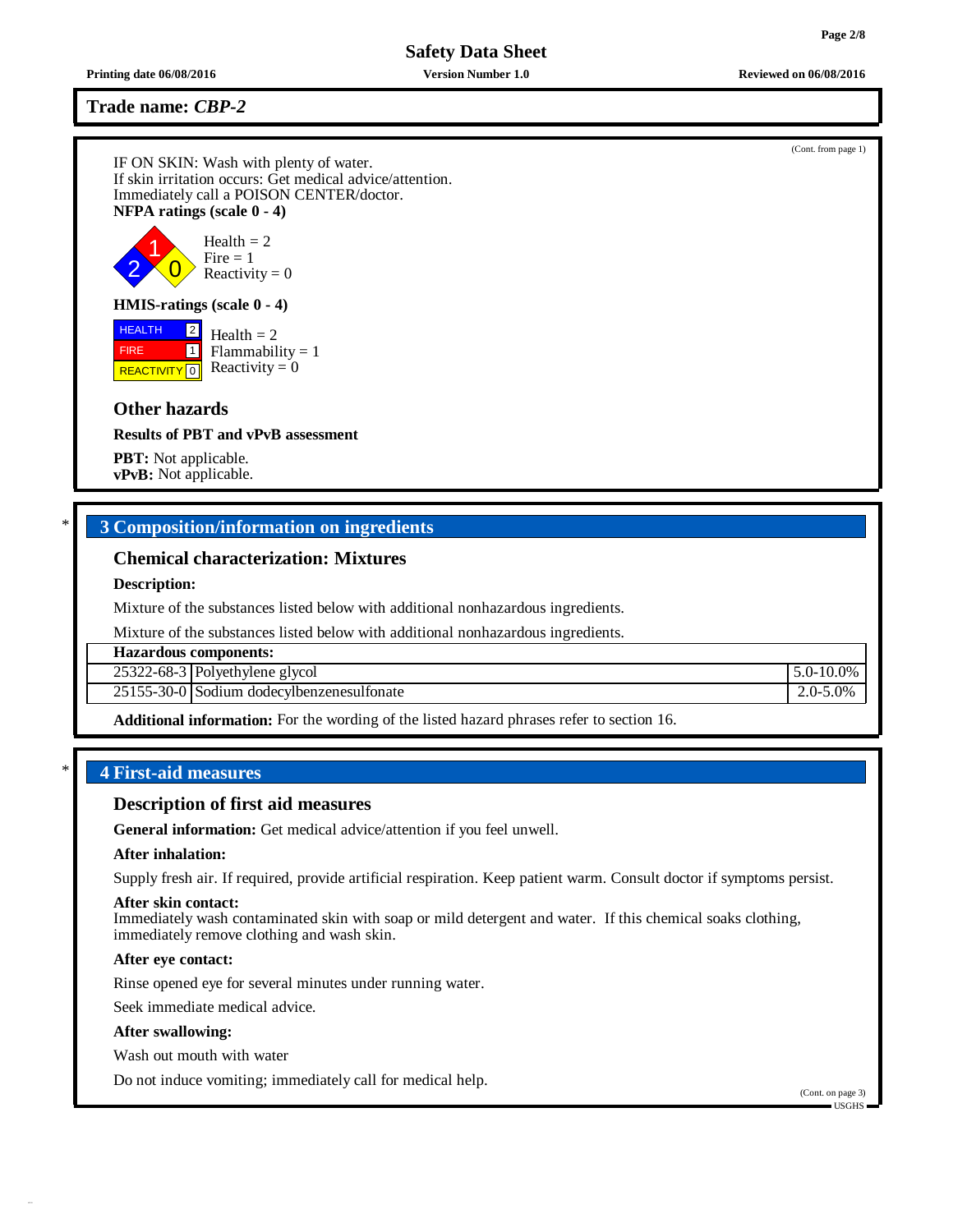**Printing date 06/08/2016 Version Number 1.0 Reviewed on 06/08/2016**

**Trade name:** *CBP-2*

IF ON SKIN: Wash with plenty of water. If skin irritation occurs: Get medical advice/attention. Immediately call a POISON CENTER/doctor. **NFPA ratings (scale 0 - 4)**



#### **HMIS-ratings (scale 0 - 4)**

**HEALTH**  FIRE **REACTIVITY** 0  $|2|$  $\boxed{1}$ Health  $= 2$  $Flammability = 1$ Reactivity  $= 0$ 

## **Other hazards**

**Results of PBT and vPvB assessment**

**PBT:** Not applicable. **vPvB:** Not applicable.

## \* **3 Composition/information on ingredients**

## **Chemical characterization: Mixtures**

#### **Description:**

Mixture of the substances listed below with additional nonhazardous ingredients.

Mixture of the substances listed below with additional nonhazardous ingredients.

| <b>Hazardous components:</b>              |                |  |  |
|-------------------------------------------|----------------|--|--|
| 25322-68-3 Polyethylene glycol            | $5.0 - 10.0\%$ |  |  |
| 25155-30-0 Sodium dodecylbenzenesulfonate | $2.0 - 5.0\%$  |  |  |

**Additional information:** For the wording of the listed hazard phrases refer to section 16.

#### \* **4 First-aid measures**

#### **Description of first aid measures**

**General information:** Get medical advice/attention if you feel unwell.

#### **After inhalation:**

Supply fresh air. If required, provide artificial respiration. Keep patient warm. Consult doctor if symptoms persist.

#### **After skin contact:**

Immediately wash contaminated skin with soap or mild detergent and water. If this chemical soaks clothing, immediately remove clothing and wash skin.

#### **After eye contact:**

Rinse opened eye for several minutes under running water.

Seek immediate medical advice.

#### **After swallowing:**

Wash out mouth with water

Do not induce vomiting; immediately call for medical help.

(Cont. from page 1)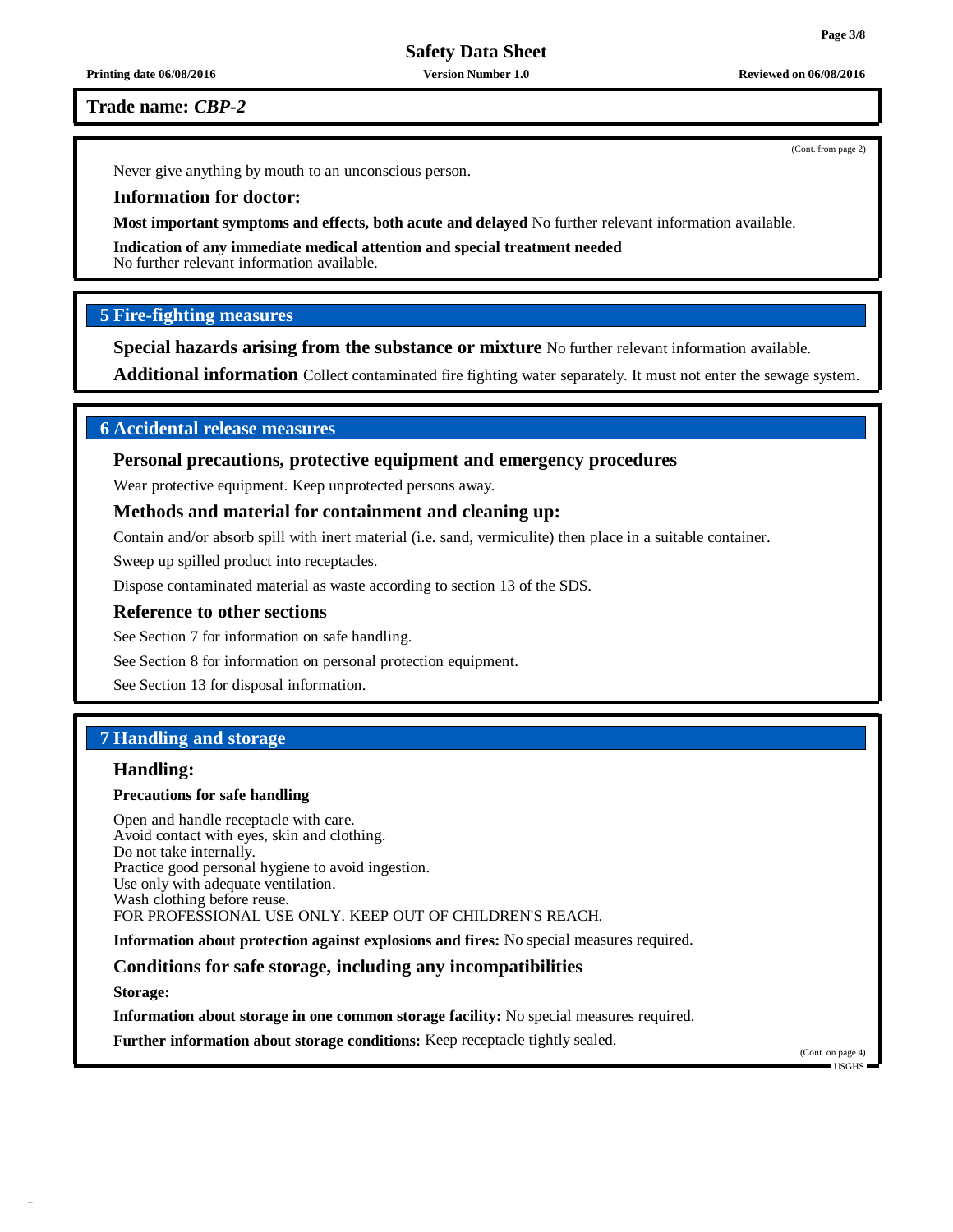**Printing date 06/08/2016 Version Number 1.0 Reviewed on 06/08/2016**

**Trade name:** *CBP-2*

Never give anything by mouth to an unconscious person.

## **Information for doctor:**

**Most important symptoms and effects, both acute and delayed** No further relevant information available.

**Indication of any immediate medical attention and special treatment needed**

No further relevant information available.

## **5 Fire-fighting measures**

**Special hazards arising from the substance or mixture** No further relevant information available.

**Additional information** Collect contaminated fire fighting water separately. It must not enter the sewage system.

## **6 Accidental release measures**

**Personal precautions, protective equipment and emergency procedures**

Wear protective equipment. Keep unprotected persons away.

## **Methods and material for containment and cleaning up:**

Contain and/or absorb spill with inert material (i.e. sand, vermiculite) then place in a suitable container.

Sweep up spilled product into receptacles.

Dispose contaminated material as waste according to section 13 of the SDS.

#### **Reference to other sections**

See Section 7 for information on safe handling.

See Section 8 for information on personal protection equipment.

See Section 13 for disposal information.

## **7 Handling and storage**

#### **Handling:**

## **Precautions for safe handling**

Open and handle receptacle with care. Avoid contact with eyes, skin and clothing. Do not take internally. Practice good personal hygiene to avoid ingestion. Use only with adequate ventilation. Wash clothing before reuse. FOR PROFESSIONAL USE ONLY. KEEP OUT OF CHILDREN'S REACH.

**Information about protection against explosions and fires:** No special measures required.

## **Conditions for safe storage, including any incompatibilities**

**Storage:**

**Information about storage in one common storage facility:** No special measures required.

**Further information about storage conditions:** Keep receptacle tightly sealed.

(Cont. on page 4)  $-1$ ISGHS

(Cont. from page 2)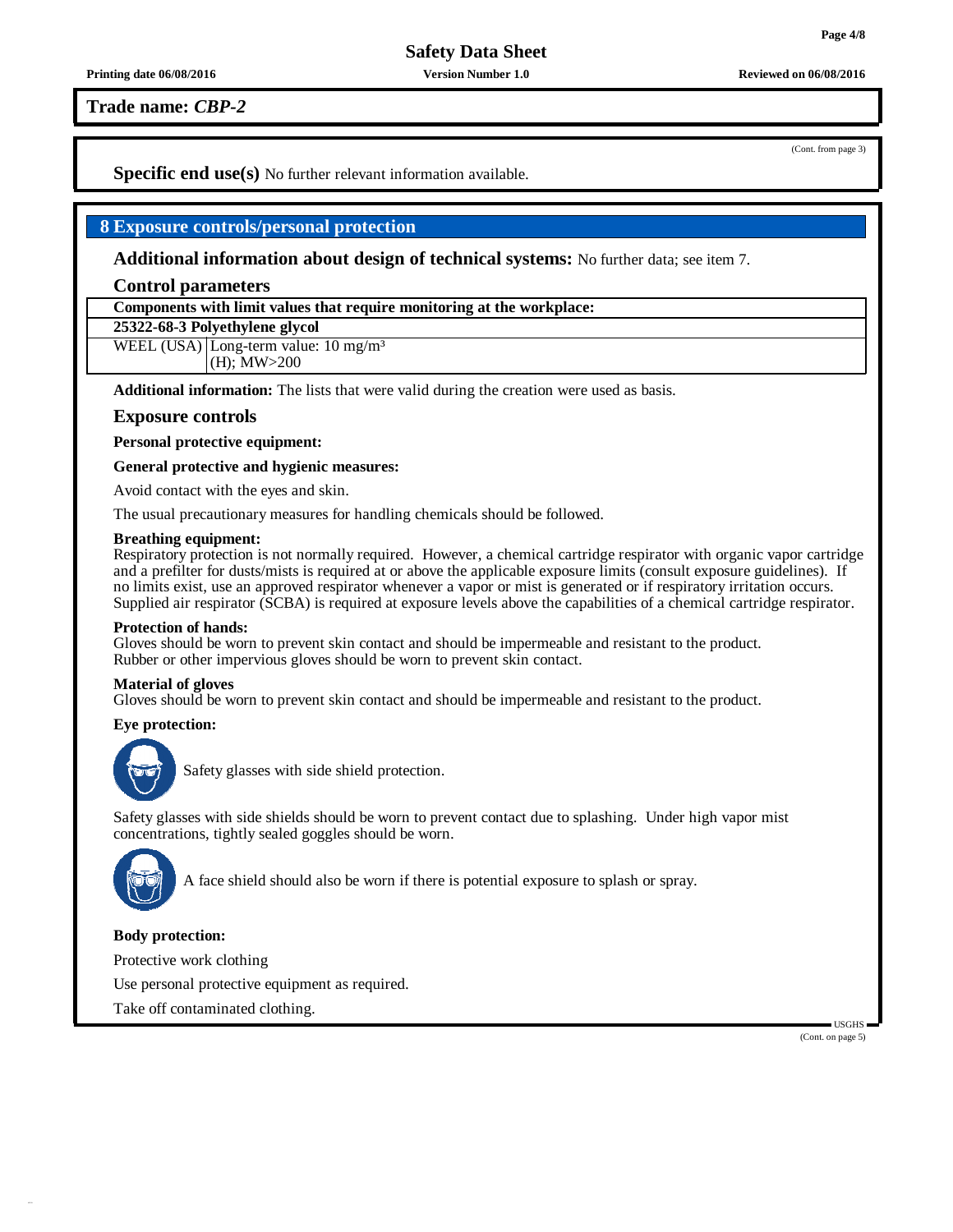**Printing date 06/08/2016 Version Number 1.0 Reviewed on 06/08/2016**

**Trade name:** *CBP-2*

(Cont. from page 3)

**Specific end use(s)** No further relevant information available.

## **8 Exposure controls/personal protection**

**Additional information about design of technical systems:** No further data; see item 7.

#### **Control parameters**

**Components with limit values that require monitoring at the workplace:**

## **25322-68-3 Polyethylene glycol**

WEEL (USA) Long-term value:  $10 \text{ mg/m}^3$ (H); MW>200

**Additional information:** The lists that were valid during the creation were used as basis.

#### **Exposure controls**

**Personal protective equipment:**

#### **General protective and hygienic measures:**

Avoid contact with the eyes and skin.

The usual precautionary measures for handling chemicals should be followed.

#### **Breathing equipment:**

Respiratory protection is not normally required. However, a chemical cartridge respirator with organic vapor cartridge and a prefilter for dusts/mists is required at or above the applicable exposure limits (consult exposure guidelines). If no limits exist, use an approved respirator whenever a vapor or mist is generated or if respiratory irritation occurs. Supplied air respirator (SCBA) is required at exposure levels above the capabilities of a chemical cartridge respirator.

#### **Protection of hands:**

Gloves should be worn to prevent skin contact and should be impermeable and resistant to the product. Rubber or other impervious gloves should be worn to prevent skin contact.

#### **Material of gloves**

Gloves should be worn to prevent skin contact and should be impermeable and resistant to the product.

#### **Eye protection:**



Safety glasses with side shield protection.

Safety glasses with side shields should be worn to prevent contact due to splashing. Under high vapor mist concentrations, tightly sealed goggles should be worn.



A face shield should also be worn if there is potential exposure to splash or spray.

#### **Body protection:**

Protective work clothing

Use personal protective equipment as required.

Take off contaminated clothing.

USGHS (Cont. on page 5)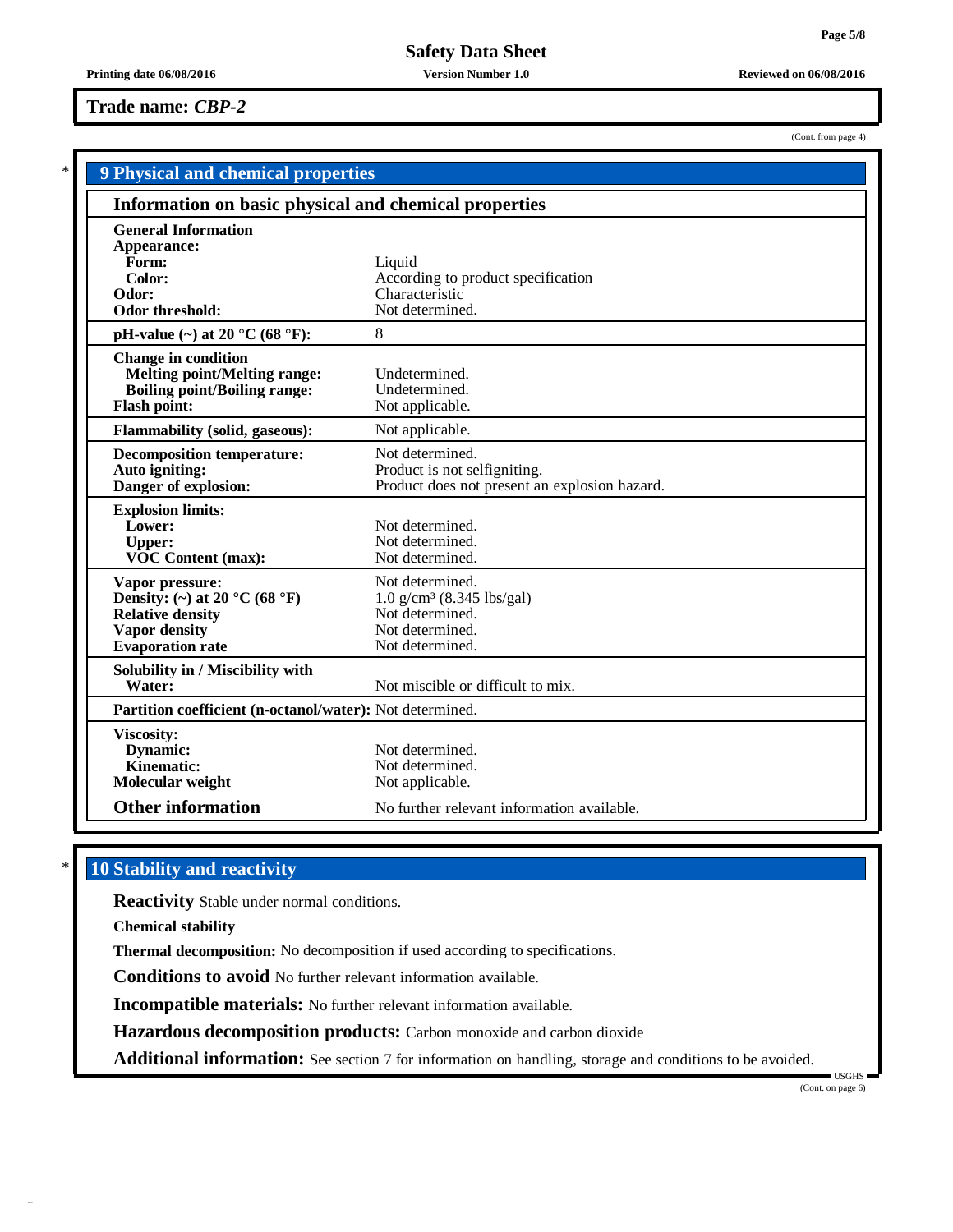(Cont. from page 4)

**Safety Data Sheet**

#### **Printing date 06/08/2016 Version Number 1.0 Reviewed on 06/08/2016**

## **Trade name:** *CBP-2*

| <b>9 Physical and chemical properties</b>                |                                               |  |  |  |
|----------------------------------------------------------|-----------------------------------------------|--|--|--|
| Information on basic physical and chemical properties    |                                               |  |  |  |
| <b>General Information</b><br>Appearance:                |                                               |  |  |  |
| Form:                                                    | Liquid                                        |  |  |  |
| Color:                                                   | According to product specification            |  |  |  |
| Odor:                                                    | Characteristic                                |  |  |  |
| Odor threshold:                                          | Not determined.                               |  |  |  |
| pH-value $(\sim)$ at 20 °C (68 °F):                      | 8                                             |  |  |  |
| <b>Change in condition</b>                               |                                               |  |  |  |
| <b>Melting point/Melting range:</b>                      | Undetermined.                                 |  |  |  |
| <b>Boiling point/Boiling range:</b>                      | Undetermined.                                 |  |  |  |
| <b>Flash point:</b>                                      | Not applicable.                               |  |  |  |
| <b>Flammability (solid, gaseous):</b>                    | Not applicable.                               |  |  |  |
| <b>Decomposition temperature:</b>                        | Not determined.                               |  |  |  |
| Auto igniting:                                           | Product is not selfigniting.                  |  |  |  |
| Danger of explosion:                                     | Product does not present an explosion hazard. |  |  |  |
| <b>Explosion limits:</b>                                 |                                               |  |  |  |
| Lower:                                                   | Not determined.                               |  |  |  |
| <b>Upper:</b>                                            | Not determined.                               |  |  |  |
| <b>VOC Content (max):</b>                                | Not determined.                               |  |  |  |
| Vapor pressure:                                          | Not determined.                               |  |  |  |
| Density: (~) at 20 °C (68 °F)                            | $1.0$ g/cm <sup>3</sup> (8.345 lbs/gal)       |  |  |  |
| <b>Relative density</b>                                  | Not determined.                               |  |  |  |
| <b>Vapor density</b>                                     | Not determined.                               |  |  |  |
| <b>Evaporation</b> rate                                  | Not determined.                               |  |  |  |
| Solubility in / Miscibility with                         |                                               |  |  |  |
| Water:                                                   | Not miscible or difficult to mix.             |  |  |  |
| Partition coefficient (n-octanol/water): Not determined. |                                               |  |  |  |
| Viscosity:                                               |                                               |  |  |  |
| Dynamic:                                                 | Not determined.                               |  |  |  |
| Kinematic:                                               | Not determined.                               |  |  |  |
| Molecular weight                                         | Not applicable.                               |  |  |  |
| <b>Other information</b>                                 | No further relevant information available.    |  |  |  |
|                                                          |                                               |  |  |  |

# \* **10 Stability and reactivity**

**Reactivity** Stable under normal conditions.

**Chemical stability**

**Thermal decomposition:** No decomposition if used according to specifications.

**Conditions to avoid** No further relevant information available.

**Incompatible materials:** No further relevant information available.

**Hazardous decomposition products:** Carbon monoxide and carbon dioxide

**Additional information:** See section 7 for information on handling, storage and conditions to be avoided.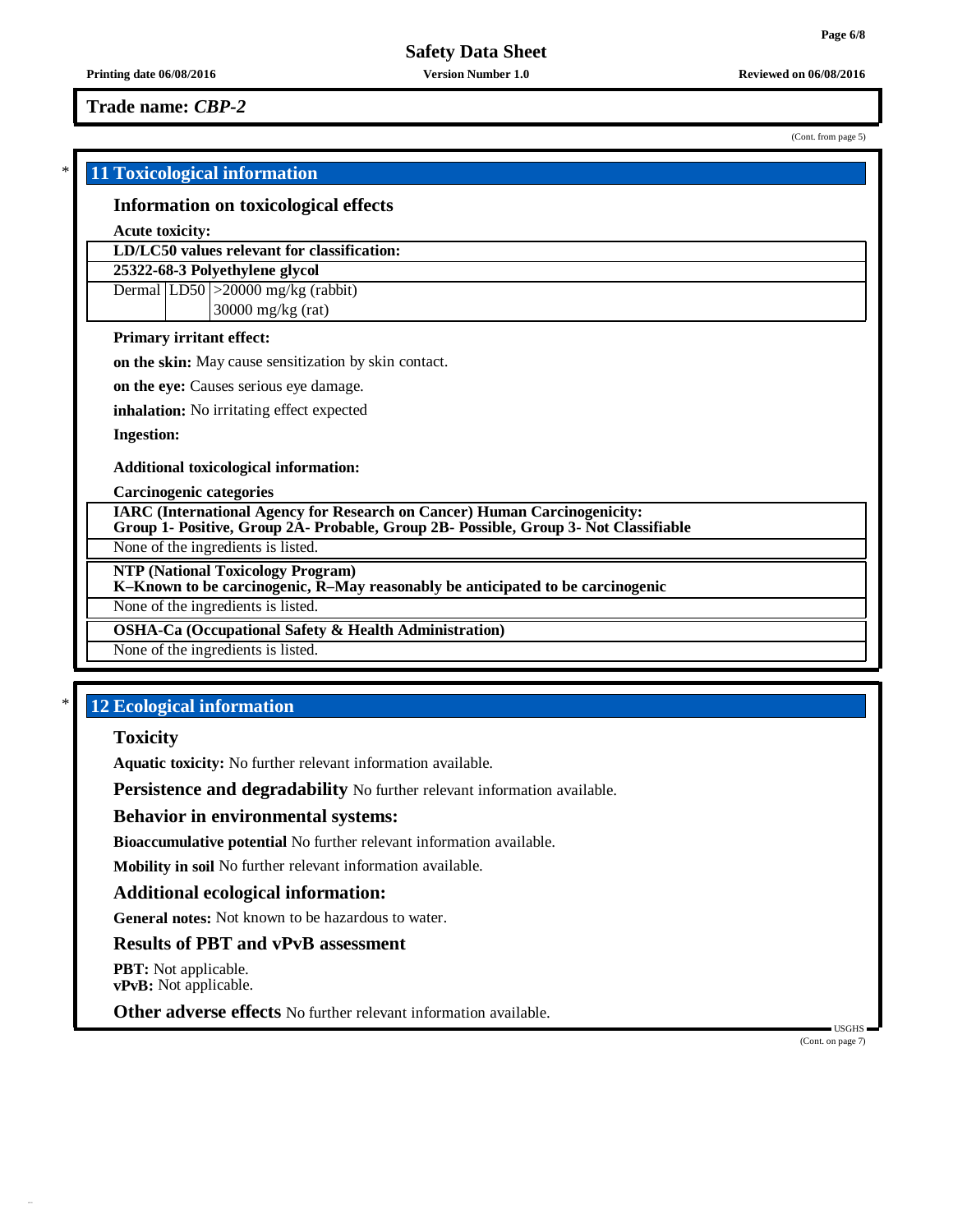## **Trade name:** *CBP-2*

(Cont. from page 5)

# \* **11 Toxicological information Information on toxicological effects Acute toxicity: LD/LC50 values relevant for classification: 25322-68-3 Polyethylene glycol** Dermal  $|LD50| > 20000$  mg/kg (rabbit) 30000 mg/kg (rat) **Primary irritant effect: on the skin:** May cause sensitization by skin contact. **on the eye:** Causes serious eye damage. **inhalation:** No irritating effect expected **Ingestion: Additional toxicological information: Carcinogenic categories IARC (International Agency for Research on Cancer) Human Carcinogenicity: Group 1- Positive, Group 2A- Probable, Group 2B- Possible, Group 3- Not Classifiable** None of the ingredients is listed. **NTP (National Toxicology Program) K–Known to be carcinogenic, R–May reasonably be anticipated to be carcinogenic** None of the ingredients is listed. **OSHA-Ca (Occupational Safety & Health Administration)** None of the ingredients is listed.

# \* **12 Ecological information**

## **Toxicity**

**Aquatic toxicity:** No further relevant information available.

**Persistence and degradability** No further relevant information available.

#### **Behavior in environmental systems:**

**Bioaccumulative potential** No further relevant information available.

**Mobility in soil** No further relevant information available.

## **Additional ecological information:**

**General notes:** Not known to be hazardous to water.

## **Results of PBT and vPvB assessment**

**PBT:** Not applicable. **vPvB:** Not applicable.

**Other adverse effects** No further relevant information available.

(Cont. on page 7)

USGHS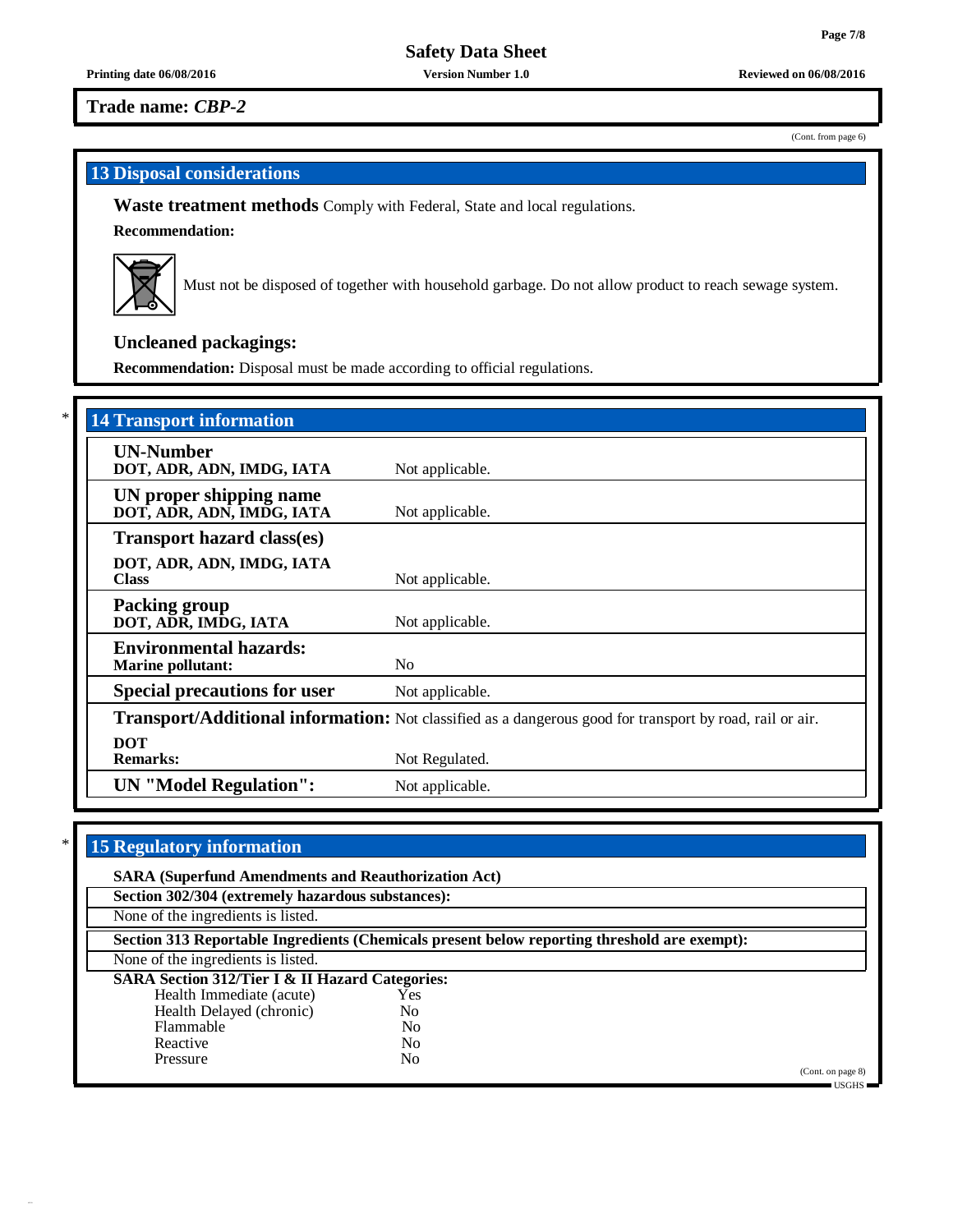**Printing date 06/08/2016 Version Number 1.0 Reviewed on 06/08/2016**

**Trade name:** *CBP-2*

(Cont. from page 6)

# **13 Disposal considerations**

**Waste treatment methods** Comply with Federal, State and local regulations.

**Recommendation:**



Must not be disposed of together with household garbage. Do not allow product to reach sewage system.

# **Uncleaned packagings:**

**Recommendation:** Disposal must be made according to official regulations.

| <b>14 Transport information</b>                           |                                                                                                          |
|-----------------------------------------------------------|----------------------------------------------------------------------------------------------------------|
| <b>UN-Number</b><br>DOT, ADR, ADN, IMDG, IATA             | Not applicable.                                                                                          |
| UN proper shipping name<br>DOT, ADR, ADN, IMDG, IATA      | Not applicable.                                                                                          |
| <b>Transport hazard class(es)</b>                         |                                                                                                          |
| DOT, ADR, ADN, IMDG, IATA<br><b>Class</b>                 | Not applicable.                                                                                          |
| <b>Packing group</b><br>DOT, ADR, IMDG, IATA              | Not applicable.                                                                                          |
| <b>Environmental hazards:</b><br><b>Marine pollutant:</b> | N <sub>0</sub>                                                                                           |
| <b>Special precautions for user</b>                       | Not applicable.                                                                                          |
|                                                           | Transport/Additional information: Not classified as a dangerous good for transport by road, rail or air. |
| <b>DOT</b><br><b>Remarks:</b>                             | Not Regulated.                                                                                           |
| <b>UN</b> "Model Regulation":                             | Not applicable.                                                                                          |

# \* **15 Regulatory information**

| <b>SARA (Superfund Amendments and Reauthorization Act)</b>                                   |                |  |                   |  |  |
|----------------------------------------------------------------------------------------------|----------------|--|-------------------|--|--|
| Section 302/304 (extremely hazardous substances):                                            |                |  |                   |  |  |
| None of the ingredients is listed.                                                           |                |  |                   |  |  |
| Section 313 Reportable Ingredients (Chemicals present below reporting threshold are exempt): |                |  |                   |  |  |
| None of the ingredients is listed.                                                           |                |  |                   |  |  |
| <b>SARA Section 312/Tier I &amp; II Hazard Categories:</b>                                   |                |  |                   |  |  |
| Health Immediate (acute)                                                                     | Yes            |  |                   |  |  |
| Health Delayed (chronic)                                                                     | N <sub>0</sub> |  |                   |  |  |
| Flammable                                                                                    | N <sub>0</sub> |  |                   |  |  |
| Reactive                                                                                     | No             |  |                   |  |  |
| Pressure                                                                                     | No             |  |                   |  |  |
|                                                                                              |                |  | (Cont. on page 8) |  |  |

USGHS<sup>1</sup>